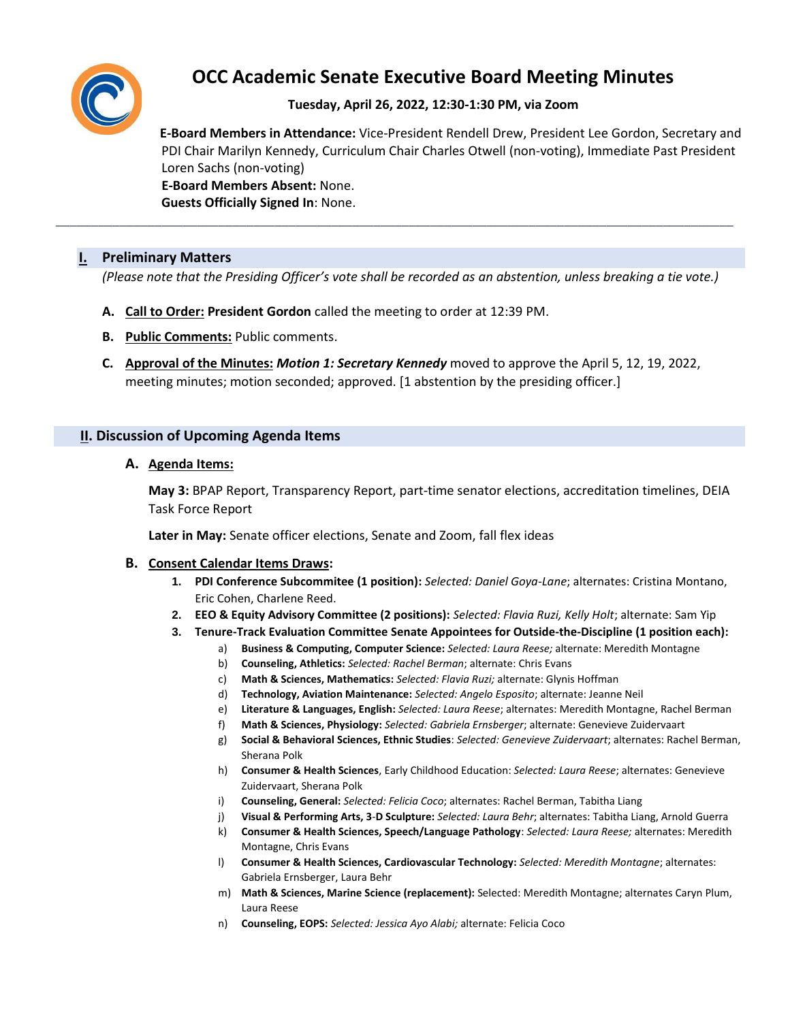

# **OCC Academic Senate Executive Board Meeting Minutes**

## **Tuesday, April 26, 2022, 12:30-1:30 PM, via Zoom**

 **E-Board Members in Attendance:** Vice-President Rendell Drew, President Lee Gordon, Secretary and PDI Chair Marilyn Kennedy, Curriculum Chair Charles Otwell (non-voting), Immediate Past President Loren Sachs (non-voting)  **E-Board Members Absent:** None.

**Guests Officially Signed In**: None.

### **I. Preliminary Matters**

*(Please note that the Presiding Officer's vote shall be recorded as an abstention, unless breaking a tie vote.)*

\_\_\_\_\_\_\_\_\_\_\_\_\_\_\_\_\_\_\_\_\_\_\_\_\_\_\_\_\_\_\_\_\_\_\_\_\_\_\_\_\_\_\_\_\_\_\_\_\_\_\_\_\_\_\_\_\_\_\_\_\_\_\_\_\_\_\_\_\_\_\_\_\_\_\_\_\_\_\_\_\_\_\_\_\_\_\_\_\_\_\_\_\_\_\_\_

- **A. Call to Order: President Gordon** called the meeting to order at 12:39 PM.
- **B. Public Comments:** Public comments.
- **C. Approval of the Minutes:** *Motion 1: Secretary Kennedy* moved to approve the April 5, 12, 19, 2022, meeting minutes; motion seconded; approved. [1 abstention by the presiding officer.]

#### **II. Discussion of Upcoming Agenda Items**

#### **A. Agenda Items:**

**May 3:** BPAP Report, Transparency Report, part-time senator elections, accreditation timelines, DEIA Task Force Report

**Later in May:** Senate officer elections, Senate and Zoom, fall flex ideas

#### **B. Consent Calendar Items Draws:**

- **1. PDI Conference Subcommitee (1 position):** *Selected: Daniel Goya-Lane*; alternates: Cristina Montano, Eric Cohen, Charlene Reed.
- **2. EEO & Equity Advisory Committee (2 positions):** *Selected: Flavia Ruzi, Kelly Holt*; alternate: Sam Yip
- **3. Tenure-Track Evaluation Committee Senate Appointees for Outside-the-Discipline (1 position each):**
	- a) **Business & Computing, Computer Science:** *Selected: Laura Reese;* alternate: Meredith Montagne
		- b) **Counseling, Athletics:** *Selected: Rachel Berman*; alternate: Chris Evans
		- c) **Math & Sciences, Mathematics:** *Selected: Flavia Ruzi;* alternate: Glynis Hoffman
	- d) **Technology, Aviation Maintenance:** *Selected: Angelo Esposito*; alternate: Jeanne Neil
	- e) **Literature & Languages, English:** *Selected: Laura Reese*; alternates: Meredith Montagne, Rachel Berman
	- f) **Math & Sciences, Physiology:** *Selected: Gabriela Ernsberger*; alternate: Genevieve Zuidervaart
	- g) **Social & Behavioral Sciences, Ethnic Studies**: *Selected: Genevieve Zuidervaart*; alternates: Rachel Berman, Sherana Polk
	- h) **Consumer & Health Sciences**, Early Childhood Education: *Selected: Laura Reese*; alternates: Genevieve Zuidervaart, Sherana Polk
	- i) **Counseling, General:** *Selected: Felicia Coco*; alternates: Rachel Berman, Tabitha Liang
	- j) **Visual & Performing Arts, 3**-**D Sculpture:** *Selected: Laura Behr*; alternates: Tabitha Liang, Arnold Guerra
	- k) **Consumer & Health Sciences, Speech/Language Pathology**: *Selected: Laura Reese;* alternates: Meredith Montagne, Chris Evans
	- l) **Consumer & Health Sciences, Cardiovascular Technology:** *Selected: Meredith Montagne*; alternates: Gabriela Ernsberger, Laura Behr
	- m) **Math & Sciences, Marine Science (replacement):** Selected: Meredith Montagne; alternates Caryn Plum, Laura Reese
	- n) **Counseling, EOPS:** *Selected: Jessica Ayo Alabi;* alternate: Felicia Coco